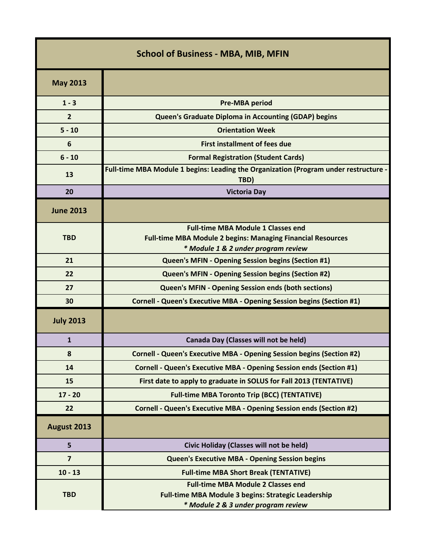| <b>School of Business - MBA, MIB, MFIN</b> |                                                                                                                                                        |  |
|--------------------------------------------|--------------------------------------------------------------------------------------------------------------------------------------------------------|--|
| <b>May 2013</b>                            |                                                                                                                                                        |  |
| $1 - 3$                                    | <b>Pre-MBA period</b>                                                                                                                                  |  |
| $\overline{2}$                             | <b>Queen's Graduate Diploma in Accounting (GDAP) begins</b>                                                                                            |  |
| $5 - 10$                                   | <b>Orientation Week</b>                                                                                                                                |  |
| 6                                          | <b>First installment of fees due</b>                                                                                                                   |  |
| $6 - 10$                                   | <b>Formal Registration (Student Cards)</b>                                                                                                             |  |
| 13                                         | Full-time MBA Module 1 begins: Leading the Organization (Program under restructure -<br>TBD)                                                           |  |
| 20                                         | <b>Victoria Day</b>                                                                                                                                    |  |
| <b>June 2013</b>                           |                                                                                                                                                        |  |
| <b>TBD</b>                                 | <b>Full-time MBA Module 1 Classes end</b><br><b>Full-time MBA Module 2 begins: Managing Financial Resources</b><br>* Module 1 & 2 under program review |  |
| 21                                         | <b>Queen's MFIN - Opening Session begins (Section #1)</b>                                                                                              |  |
| 22                                         | Queen's MFIN - Opening Session begins (Section #2)                                                                                                     |  |
| 27                                         | <b>Queen's MFIN - Opening Session ends (both sections)</b>                                                                                             |  |
| 30                                         | Cornell - Queen's Executive MBA - Opening Session begins (Section #1)                                                                                  |  |
| <b>July 2013</b>                           |                                                                                                                                                        |  |
| $\mathbf{1}$                               | Canada Day (Classes will not be held)                                                                                                                  |  |
| 8                                          | Cornell - Queen's Executive MBA - Opening Session begins (Section #2)                                                                                  |  |
| 14                                         | Cornell - Queen's Executive MBA - Opening Session ends (Section #1)                                                                                    |  |
| 15                                         | First date to apply to graduate in SOLUS for Fall 2013 (TENTATIVE)                                                                                     |  |
| $17 - 20$                                  | <b>Full-time MBA Toronto Trip (BCC) (TENTATIVE)</b>                                                                                                    |  |
| 22                                         | Cornell - Queen's Executive MBA - Opening Session ends (Section #2)                                                                                    |  |
| August 2013                                |                                                                                                                                                        |  |
| 5                                          | Civic Holiday (Classes will not be held)                                                                                                               |  |
| $\overline{7}$                             | <b>Queen's Executive MBA - Opening Session begins</b>                                                                                                  |  |
| $10 - 13$                                  | <b>Full-time MBA Short Break (TENTATIVE)</b>                                                                                                           |  |
| <b>TBD</b>                                 | <b>Full-time MBA Module 2 Classes end</b><br><b>Full-time MBA Module 3 begins: Strategic Leadership</b><br>* Module 2 & 3 under program review         |  |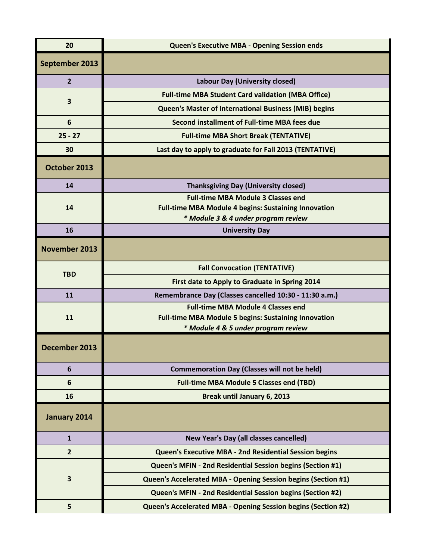| 20                   | <b>Queen's Executive MBA - Opening Session ends</b>                                                                                             |
|----------------------|-------------------------------------------------------------------------------------------------------------------------------------------------|
| September 2013       |                                                                                                                                                 |
| $\overline{2}$       | <b>Labour Day (University closed)</b>                                                                                                           |
| 3                    | <b>Full-time MBA Student Card validation (MBA Office)</b>                                                                                       |
|                      | <b>Queen's Master of International Business (MIB) begins</b>                                                                                    |
| 6                    | Second installment of Full-time MBA fees due                                                                                                    |
| $25 - 27$            | <b>Full-time MBA Short Break (TENTATIVE)</b>                                                                                                    |
| 30                   | Last day to apply to graduate for Fall 2013 (TENTATIVE)                                                                                         |
| October 2013         |                                                                                                                                                 |
| 14                   | <b>Thanksgiving Day (University closed)</b>                                                                                                     |
| 14                   | <b>Full-time MBA Module 3 Classes end</b><br><b>Full-time MBA Module 4 begins: Sustaining Innovation</b><br>* Module 3 & 4 under program review |
| 16                   | <b>University Day</b>                                                                                                                           |
| <b>November 2013</b> |                                                                                                                                                 |
| <b>TBD</b>           | <b>Fall Convocation (TENTATIVE)</b>                                                                                                             |
|                      | First date to Apply to Graduate in Spring 2014                                                                                                  |
| 11                   | Remembrance Day (Classes cancelled 10:30 - 11:30 a.m.)                                                                                          |
| 11                   | <b>Full-time MBA Module 4 Classes end</b><br><b>Full-time MBA Module 5 begins: Sustaining Innovation</b>                                        |
|                      | * Module 4 & 5 under program review                                                                                                             |
| December 2013        |                                                                                                                                                 |
| $6\phantom{1}6$      | <b>Commemoration Day (Classes will not be held)</b>                                                                                             |
| 6                    | <b>Full-time MBA Module 5 Classes end (TBD)</b>                                                                                                 |
| 16                   | Break until January 6, 2013                                                                                                                     |
| January 2014         |                                                                                                                                                 |
| $\mathbf{1}$         | New Year's Day (all classes cancelled)                                                                                                          |
| $\overline{2}$       | <b>Queen's Executive MBA - 2nd Residential Session begins</b>                                                                                   |
| 3                    | Queen's MFIN - 2nd Residential Session begins (Section #1)                                                                                      |
|                      | Queen's Accelerated MBA - Opening Session begins (Section #1)                                                                                   |
|                      | Queen's MFIN - 2nd Residential Session begins (Section #2)                                                                                      |
| 5                    | Queen's Accelerated MBA - Opening Session begins (Section #2)                                                                                   |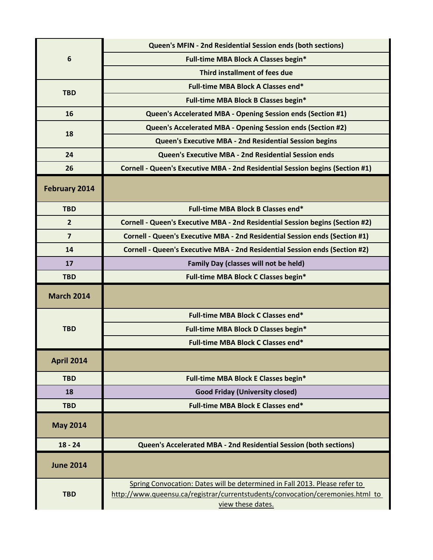| 6                    | Queen's MFIN - 2nd Residential Session ends (both sections)                                                                                                                       |
|----------------------|-----------------------------------------------------------------------------------------------------------------------------------------------------------------------------------|
|                      | Full-time MBA Block A Classes begin*                                                                                                                                              |
|                      | Third installment of fees due                                                                                                                                                     |
| <b>TBD</b>           | Full-time MBA Block A Classes end*                                                                                                                                                |
|                      | Full-time MBA Block B Classes begin*                                                                                                                                              |
| 16                   | Queen's Accelerated MBA - Opening Session ends (Section #1)                                                                                                                       |
| 18                   | Queen's Accelerated MBA - Opening Session ends (Section #2)                                                                                                                       |
|                      | <b>Queen's Executive MBA - 2nd Residential Session begins</b>                                                                                                                     |
| 24                   | Queen's Executive MBA - 2nd Residential Session ends                                                                                                                              |
| 26                   | Cornell - Queen's Executive MBA - 2nd Residential Session begins (Section #1)                                                                                                     |
| <b>February 2014</b> |                                                                                                                                                                                   |
| <b>TBD</b>           | Full-time MBA Block B Classes end*                                                                                                                                                |
| $\overline{2}$       | Cornell - Queen's Executive MBA - 2nd Residential Session begins (Section #2)                                                                                                     |
| $\overline{7}$       | Cornell - Queen's Executive MBA - 2nd Residential Session ends (Section #1)                                                                                                       |
| 14                   | Cornell - Queen's Executive MBA - 2nd Residential Session ends (Section #2)                                                                                                       |
| 17                   | <b>Family Day (classes will not be held)</b>                                                                                                                                      |
| <b>TBD</b>           | <b>Full-time MBA Block C Classes begin*</b>                                                                                                                                       |
| <b>March 2014</b>    |                                                                                                                                                                                   |
|                      | <b>Full-time MBA Block C Classes end*</b>                                                                                                                                         |
| <b>TBD</b>           | Full-time MBA Block D Classes begin*                                                                                                                                              |
|                      | <b>Full-time MBA Block C Classes end*</b>                                                                                                                                         |
| <b>April 2014</b>    |                                                                                                                                                                                   |
| <b>TBD</b>           | Full-time MBA Block E Classes begin*                                                                                                                                              |
| 18                   | <b>Good Friday (University closed)</b>                                                                                                                                            |
| <b>TBD</b>           | Full-time MBA Block E Classes end*                                                                                                                                                |
| <b>May 2014</b>      |                                                                                                                                                                                   |
| $18 - 24$            | Queen's Accelerated MBA - 2nd Residential Session (both sections)                                                                                                                 |
| <b>June 2014</b>     |                                                                                                                                                                                   |
| <b>TBD</b>           | Spring Convocation: Dates will be determined in Fall 2013. Please refer to<br>http://www.queensu.ca/registrar/currentstudents/convocation/ceremonies.html to<br>view these dates. |